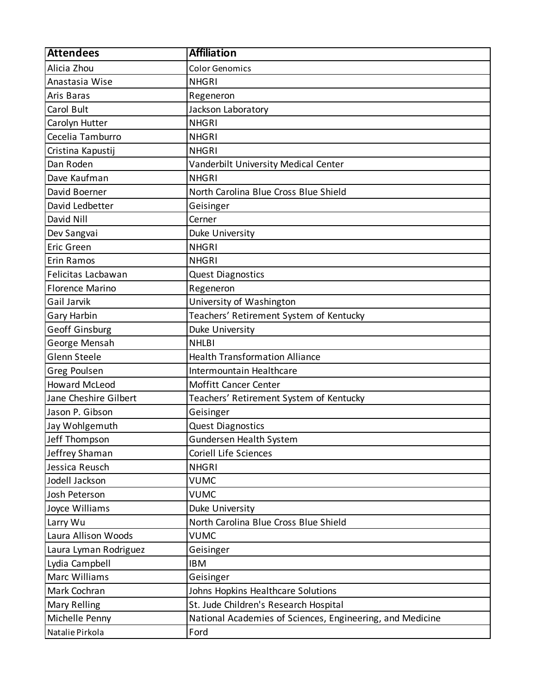| <b>Color Genomics</b><br><b>NHGRI</b><br>Regeneron<br>Jackson Laboratory<br><b>NHGRI</b><br><b>NHGRI</b><br><b>NHGRI</b><br>Vanderbilt University Medical Center<br><b>NHGRI</b><br>North Carolina Blue Cross Blue Shield<br>Geisinger<br>Cerner<br>Duke University<br><b>NHGRI</b><br><b>NHGRI</b><br><b>Quest Diagnostics</b><br>Regeneron<br>University of Washington<br>Teachers' Retirement System of Kentucky<br>Duke University<br><b>NHLBI</b><br><b>Health Transformation Alliance</b><br>Intermountain Healthcare<br>Moffitt Cancer Center<br>Teachers' Retirement System of Kentucky<br>Geisinger<br><b>Quest Diagnostics</b><br>Gundersen Health System<br><b>Coriell Life Sciences</b><br><b>NHGRI</b><br><b>VUMC</b><br><b>VUMC</b><br>Duke University<br>North Carolina Blue Cross Blue Shield<br><b>VUMC</b><br>Geisinger<br><b>IBM</b><br>Geisinger<br>Johns Hopkins Healthcare Solutions<br>St. Jude Children's Research Hospital<br>National Academies of Sciences, Engineering, and Medicine<br>Ford | <b>Attendees</b>       | <b>Affiliation</b> |
|--------------------------------------------------------------------------------------------------------------------------------------------------------------------------------------------------------------------------------------------------------------------------------------------------------------------------------------------------------------------------------------------------------------------------------------------------------------------------------------------------------------------------------------------------------------------------------------------------------------------------------------------------------------------------------------------------------------------------------------------------------------------------------------------------------------------------------------------------------------------------------------------------------------------------------------------------------------------------------------------------------------------------|------------------------|--------------------|
|                                                                                                                                                                                                                                                                                                                                                                                                                                                                                                                                                                                                                                                                                                                                                                                                                                                                                                                                                                                                                          | Alicia Zhou            |                    |
|                                                                                                                                                                                                                                                                                                                                                                                                                                                                                                                                                                                                                                                                                                                                                                                                                                                                                                                                                                                                                          | Anastasia Wise         |                    |
|                                                                                                                                                                                                                                                                                                                                                                                                                                                                                                                                                                                                                                                                                                                                                                                                                                                                                                                                                                                                                          | Aris Baras             |                    |
|                                                                                                                                                                                                                                                                                                                                                                                                                                                                                                                                                                                                                                                                                                                                                                                                                                                                                                                                                                                                                          | Carol Bult             |                    |
|                                                                                                                                                                                                                                                                                                                                                                                                                                                                                                                                                                                                                                                                                                                                                                                                                                                                                                                                                                                                                          | Carolyn Hutter         |                    |
|                                                                                                                                                                                                                                                                                                                                                                                                                                                                                                                                                                                                                                                                                                                                                                                                                                                                                                                                                                                                                          | Cecelia Tamburro       |                    |
|                                                                                                                                                                                                                                                                                                                                                                                                                                                                                                                                                                                                                                                                                                                                                                                                                                                                                                                                                                                                                          | Cristina Kapustij      |                    |
|                                                                                                                                                                                                                                                                                                                                                                                                                                                                                                                                                                                                                                                                                                                                                                                                                                                                                                                                                                                                                          | Dan Roden              |                    |
|                                                                                                                                                                                                                                                                                                                                                                                                                                                                                                                                                                                                                                                                                                                                                                                                                                                                                                                                                                                                                          | Dave Kaufman           |                    |
|                                                                                                                                                                                                                                                                                                                                                                                                                                                                                                                                                                                                                                                                                                                                                                                                                                                                                                                                                                                                                          | David Boerner          |                    |
|                                                                                                                                                                                                                                                                                                                                                                                                                                                                                                                                                                                                                                                                                                                                                                                                                                                                                                                                                                                                                          | David Ledbetter        |                    |
|                                                                                                                                                                                                                                                                                                                                                                                                                                                                                                                                                                                                                                                                                                                                                                                                                                                                                                                                                                                                                          | David Nill             |                    |
|                                                                                                                                                                                                                                                                                                                                                                                                                                                                                                                                                                                                                                                                                                                                                                                                                                                                                                                                                                                                                          | Dev Sangvai            |                    |
|                                                                                                                                                                                                                                                                                                                                                                                                                                                                                                                                                                                                                                                                                                                                                                                                                                                                                                                                                                                                                          | <b>Eric Green</b>      |                    |
|                                                                                                                                                                                                                                                                                                                                                                                                                                                                                                                                                                                                                                                                                                                                                                                                                                                                                                                                                                                                                          | Erin Ramos             |                    |
|                                                                                                                                                                                                                                                                                                                                                                                                                                                                                                                                                                                                                                                                                                                                                                                                                                                                                                                                                                                                                          | Felicitas Lacbawan     |                    |
|                                                                                                                                                                                                                                                                                                                                                                                                                                                                                                                                                                                                                                                                                                                                                                                                                                                                                                                                                                                                                          | <b>Florence Marino</b> |                    |
|                                                                                                                                                                                                                                                                                                                                                                                                                                                                                                                                                                                                                                                                                                                                                                                                                                                                                                                                                                                                                          | Gail Jarvik            |                    |
|                                                                                                                                                                                                                                                                                                                                                                                                                                                                                                                                                                                                                                                                                                                                                                                                                                                                                                                                                                                                                          | Gary Harbin            |                    |
|                                                                                                                                                                                                                                                                                                                                                                                                                                                                                                                                                                                                                                                                                                                                                                                                                                                                                                                                                                                                                          | Geoff Ginsburg         |                    |
|                                                                                                                                                                                                                                                                                                                                                                                                                                                                                                                                                                                                                                                                                                                                                                                                                                                                                                                                                                                                                          | George Mensah          |                    |
|                                                                                                                                                                                                                                                                                                                                                                                                                                                                                                                                                                                                                                                                                                                                                                                                                                                                                                                                                                                                                          | Glenn Steele           |                    |
|                                                                                                                                                                                                                                                                                                                                                                                                                                                                                                                                                                                                                                                                                                                                                                                                                                                                                                                                                                                                                          | Greg Poulsen           |                    |
|                                                                                                                                                                                                                                                                                                                                                                                                                                                                                                                                                                                                                                                                                                                                                                                                                                                                                                                                                                                                                          | <b>Howard McLeod</b>   |                    |
|                                                                                                                                                                                                                                                                                                                                                                                                                                                                                                                                                                                                                                                                                                                                                                                                                                                                                                                                                                                                                          | Jane Cheshire Gilbert  |                    |
|                                                                                                                                                                                                                                                                                                                                                                                                                                                                                                                                                                                                                                                                                                                                                                                                                                                                                                                                                                                                                          | Jason P. Gibson        |                    |
|                                                                                                                                                                                                                                                                                                                                                                                                                                                                                                                                                                                                                                                                                                                                                                                                                                                                                                                                                                                                                          | Jay Wohlgemuth         |                    |
|                                                                                                                                                                                                                                                                                                                                                                                                                                                                                                                                                                                                                                                                                                                                                                                                                                                                                                                                                                                                                          | Jeff Thompson          |                    |
|                                                                                                                                                                                                                                                                                                                                                                                                                                                                                                                                                                                                                                                                                                                                                                                                                                                                                                                                                                                                                          | Jeffrey Shaman         |                    |
|                                                                                                                                                                                                                                                                                                                                                                                                                                                                                                                                                                                                                                                                                                                                                                                                                                                                                                                                                                                                                          | Jessica Reusch         |                    |
|                                                                                                                                                                                                                                                                                                                                                                                                                                                                                                                                                                                                                                                                                                                                                                                                                                                                                                                                                                                                                          | Jodell Jackson         |                    |
|                                                                                                                                                                                                                                                                                                                                                                                                                                                                                                                                                                                                                                                                                                                                                                                                                                                                                                                                                                                                                          | Josh Peterson          |                    |
|                                                                                                                                                                                                                                                                                                                                                                                                                                                                                                                                                                                                                                                                                                                                                                                                                                                                                                                                                                                                                          | Joyce Williams         |                    |
|                                                                                                                                                                                                                                                                                                                                                                                                                                                                                                                                                                                                                                                                                                                                                                                                                                                                                                                                                                                                                          | Larry Wu               |                    |
|                                                                                                                                                                                                                                                                                                                                                                                                                                                                                                                                                                                                                                                                                                                                                                                                                                                                                                                                                                                                                          | Laura Allison Woods    |                    |
|                                                                                                                                                                                                                                                                                                                                                                                                                                                                                                                                                                                                                                                                                                                                                                                                                                                                                                                                                                                                                          | Laura Lyman Rodriguez  |                    |
|                                                                                                                                                                                                                                                                                                                                                                                                                                                                                                                                                                                                                                                                                                                                                                                                                                                                                                                                                                                                                          | Lydia Campbell         |                    |
|                                                                                                                                                                                                                                                                                                                                                                                                                                                                                                                                                                                                                                                                                                                                                                                                                                                                                                                                                                                                                          | <b>Marc Williams</b>   |                    |
|                                                                                                                                                                                                                                                                                                                                                                                                                                                                                                                                                                                                                                                                                                                                                                                                                                                                                                                                                                                                                          | Mark Cochran           |                    |
|                                                                                                                                                                                                                                                                                                                                                                                                                                                                                                                                                                                                                                                                                                                                                                                                                                                                                                                                                                                                                          | <b>Mary Relling</b>    |                    |
|                                                                                                                                                                                                                                                                                                                                                                                                                                                                                                                                                                                                                                                                                                                                                                                                                                                                                                                                                                                                                          | Michelle Penny         |                    |
|                                                                                                                                                                                                                                                                                                                                                                                                                                                                                                                                                                                                                                                                                                                                                                                                                                                                                                                                                                                                                          | Natalie Pirkola        |                    |